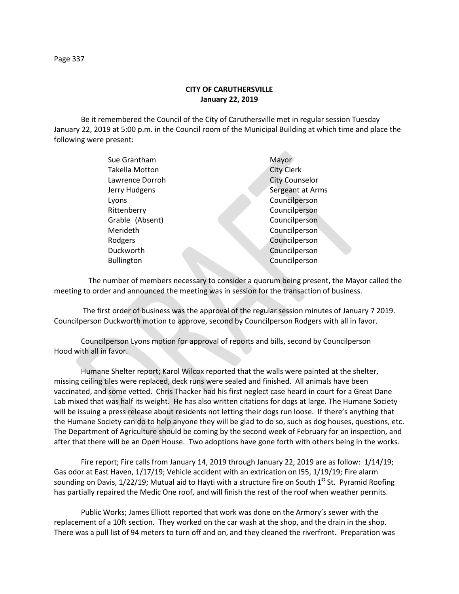## **CITY OF CARUTHERSVILLE January 22, 2019**

Be it remembered the Council of the City of Caruthersville met in regular session Tuesday January 22, 2019 at 5:00 p.m. in the Council room of the Municipal Building at which time and place the following were present:

| Sue Grantham          | Mayor                 |
|-----------------------|-----------------------|
| <b>Takella Motton</b> | <b>City Clerk</b>     |
| Lawrence Dorroh       | <b>City Counselor</b> |
| Jerry Hudgens         | Sergeant at Arms      |
| Lyons                 | Councilperson         |
| Rittenberry           | Councilperson         |
| Grable (Absent)       | Councilperson         |
| Merideth              | Councilperson         |
| Rodgers               | Councilperson         |
| Duckworth             | Councilperson         |
| <b>Bullington</b>     | Councilperson         |
|                       |                       |

 The number of members necessary to consider a quorum being present, the Mayor called the meeting to order and announced the meeting was in session for the transaction of business.

The first order of business was the approval of the regular session minutes of January 7 2019. Councilperson Duckworth motion to approve, second by Councilperson Rodgers with all in favor.

Councilperson Lyons motion for approval of reports and bills, second by Councilperson Hood with all in favor.

Humane Shelter report; Karol Wilcox reported that the walls were painted at the shelter, missing ceiling tiles were replaced, deck runs were sealed and finished. All animals have been vaccinated, and some vetted. Chris Thacker had his first neglect case heard in court for a Great Dane Lab mixed that was half its weight. He has also written citations for dogs at large. The Humane Society will be issuing a press release about residents not letting their dogs run loose. If there's anything that the Humane Society can do to help anyone they will be glad to do so, such as dog houses, questions, etc. The Department of Agriculture should be coming by the second week of February for an inspection, and after that there will be an Open House. Two adoptions have gone forth with others being in the works.

Fire report; Fire calls from January 14, 2019 through January 22, 2019 are as follow: 1/14/19; Gas odor at East Haven, 1/17/19; Vehicle accident with an extrication on I55, 1/19/19; Fire alarm sounding on Davis, 1/22/19; Mutual aid to Hayti with a structure fire on South 1<sup>st</sup> St. Pyramid Roofing has partially repaired the Medic One roof, and will finish the rest of the roof when weather permits.

Public Works; James Elliott reported that work was done on the Armory's sewer with the replacement of a 10ft section. They worked on the car wash at the shop, and the drain in the shop. There was a pull list of 94 meters to turn off and on, and they cleaned the riverfront. Preparation was